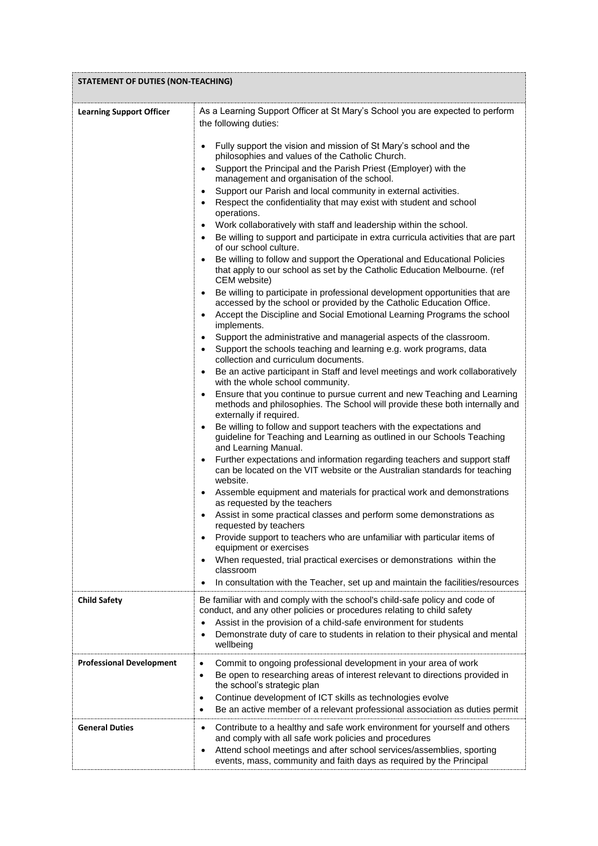| <b>STATEMENT OF DUTIES (NON-TEACHING)</b> |                                                                                                                                                                                                                                                                                                                                                                                                                                                                                                                                                                                                                                                                                                                                                                                                                                                                                                                                                                                                                                                                                                                                                                                                                                                                                                                                                                                                                                                                                                                                                                                                                                                                                                                                                                                                                                                                                                                                                                                                                                                                                                                                                                                                                                                                                                                                                                                                                                                                                                                                                                                                                        |  |
|-------------------------------------------|------------------------------------------------------------------------------------------------------------------------------------------------------------------------------------------------------------------------------------------------------------------------------------------------------------------------------------------------------------------------------------------------------------------------------------------------------------------------------------------------------------------------------------------------------------------------------------------------------------------------------------------------------------------------------------------------------------------------------------------------------------------------------------------------------------------------------------------------------------------------------------------------------------------------------------------------------------------------------------------------------------------------------------------------------------------------------------------------------------------------------------------------------------------------------------------------------------------------------------------------------------------------------------------------------------------------------------------------------------------------------------------------------------------------------------------------------------------------------------------------------------------------------------------------------------------------------------------------------------------------------------------------------------------------------------------------------------------------------------------------------------------------------------------------------------------------------------------------------------------------------------------------------------------------------------------------------------------------------------------------------------------------------------------------------------------------------------------------------------------------------------------------------------------------------------------------------------------------------------------------------------------------------------------------------------------------------------------------------------------------------------------------------------------------------------------------------------------------------------------------------------------------------------------------------------------------------------------------------------------------|--|
| <b>Learning Support Officer</b>           | As a Learning Support Officer at St Mary's School you are expected to perform<br>the following duties:<br>Fully support the vision and mission of St Mary's school and the<br>$\bullet$<br>philosophies and values of the Catholic Church.<br>Support the Principal and the Parish Priest (Employer) with the<br>$\bullet$<br>management and organisation of the school.<br>Support our Parish and local community in external activities.<br>$\bullet$<br>Respect the confidentiality that may exist with student and school<br>$\bullet$<br>operations.<br>Work collaboratively with staff and leadership within the school.<br>$\bullet$<br>Be willing to support and participate in extra curricula activities that are part<br>$\bullet$<br>of our school culture.<br>Be willing to follow and support the Operational and Educational Policies<br>that apply to our school as set by the Catholic Education Melbourne. (ref<br>CEM website)<br>Be willing to participate in professional development opportunities that are<br>$\bullet$<br>accessed by the school or provided by the Catholic Education Office.<br>Accept the Discipline and Social Emotional Learning Programs the school<br>$\bullet$<br>implements.<br>Support the administrative and managerial aspects of the classroom.<br>$\bullet$<br>Support the schools teaching and learning e.g. work programs, data<br>$\bullet$<br>collection and curriculum documents.<br>Be an active participant in Staff and level meetings and work collaboratively<br>$\bullet$<br>with the whole school community.<br>Ensure that you continue to pursue current and new Teaching and Learning<br>$\bullet$<br>methods and philosophies. The School will provide these both internally and<br>externally if required.<br>Be willing to follow and support teachers with the expectations and<br>$\bullet$<br>guideline for Teaching and Learning as outlined in our Schools Teaching<br>and Learning Manual.<br>Further expectations and information regarding teachers and support staff<br>$\bullet$<br>can be located on the VIT website or the Australian standards for teaching<br>website.<br>Assemble equipment and materials for practical work and demonstrations<br>$\bullet$<br>as requested by the teachers<br>Assist in some practical classes and perform some demonstrations as<br>$\bullet$<br>requested by teachers<br>Provide support to teachers who are unfamiliar with particular items of<br>$\bullet$<br>equipment or exercises<br>When requested, trial practical exercises or demonstrations within the<br>$\bullet$<br>classroom |  |
| <b>Child Safety</b>                       | In consultation with the Teacher, set up and maintain the facilities/resources<br>$\bullet$<br>Be familiar with and comply with the school's child-safe policy and code of<br>conduct, and any other policies or procedures relating to child safety<br>Assist in the provision of a child-safe environment for students<br>$\bullet$<br>Demonstrate duty of care to students in relation to their physical and mental<br>$\bullet$<br>wellbeing                                                                                                                                                                                                                                                                                                                                                                                                                                                                                                                                                                                                                                                                                                                                                                                                                                                                                                                                                                                                                                                                                                                                                                                                                                                                                                                                                                                                                                                                                                                                                                                                                                                                                                                                                                                                                                                                                                                                                                                                                                                                                                                                                                       |  |
| <b>Professional Development</b>           | Commit to ongoing professional development in your area of work<br>$\bullet$<br>Be open to researching areas of interest relevant to directions provided in<br>$\bullet$<br>the school's strategic plan<br>Continue development of ICT skills as technologies evolve<br>٠<br>Be an active member of a relevant professional association as duties permit<br>$\bullet$                                                                                                                                                                                                                                                                                                                                                                                                                                                                                                                                                                                                                                                                                                                                                                                                                                                                                                                                                                                                                                                                                                                                                                                                                                                                                                                                                                                                                                                                                                                                                                                                                                                                                                                                                                                                                                                                                                                                                                                                                                                                                                                                                                                                                                                  |  |
| <b>General Duties</b>                     | Contribute to a healthy and safe work environment for yourself and others<br>$\bullet$<br>and comply with all safe work policies and procedures<br>Attend school meetings and after school services/assemblies, sporting<br>$\bullet$<br>events, mass, community and faith days as required by the Principal                                                                                                                                                                                                                                                                                                                                                                                                                                                                                                                                                                                                                                                                                                                                                                                                                                                                                                                                                                                                                                                                                                                                                                                                                                                                                                                                                                                                                                                                                                                                                                                                                                                                                                                                                                                                                                                                                                                                                                                                                                                                                                                                                                                                                                                                                                           |  |